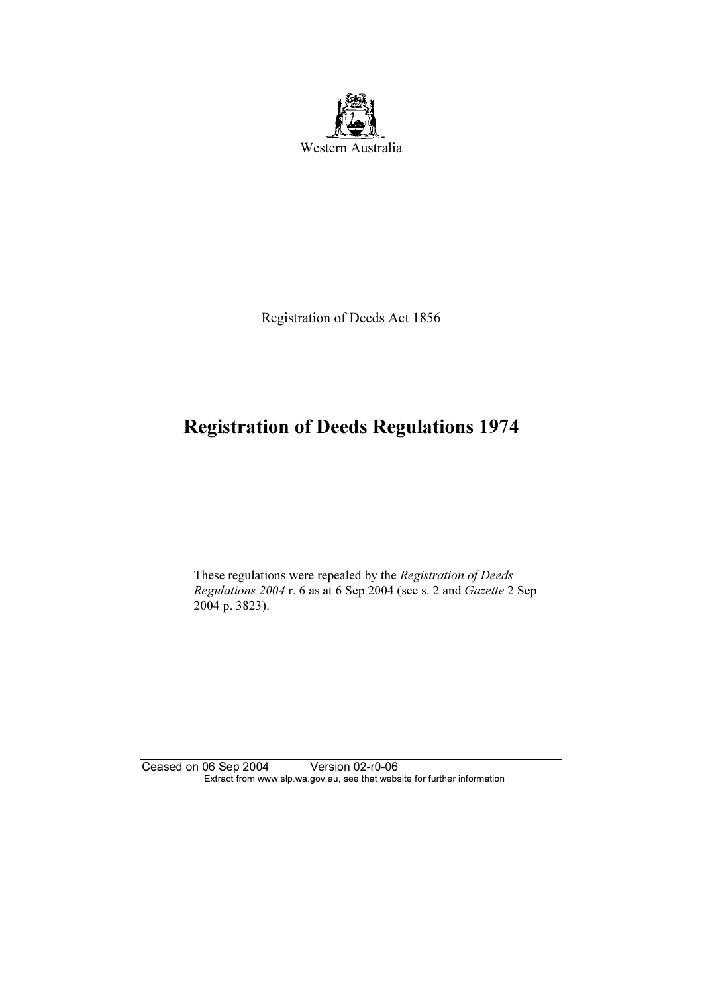

Registration of Deeds Act 1856

## Registration of Deeds Regulations 1974

 These regulations were repealed by the Registration of Deeds Regulations 2004 r. 6 as at 6 Sep 2004 (see s. 2 and Gazette 2 Sep 2004 p. 3823).

Ceased on 06 Sep 2004 Version 02-r0-06 Extract from www.slp.wa.gov.au, see that website for further information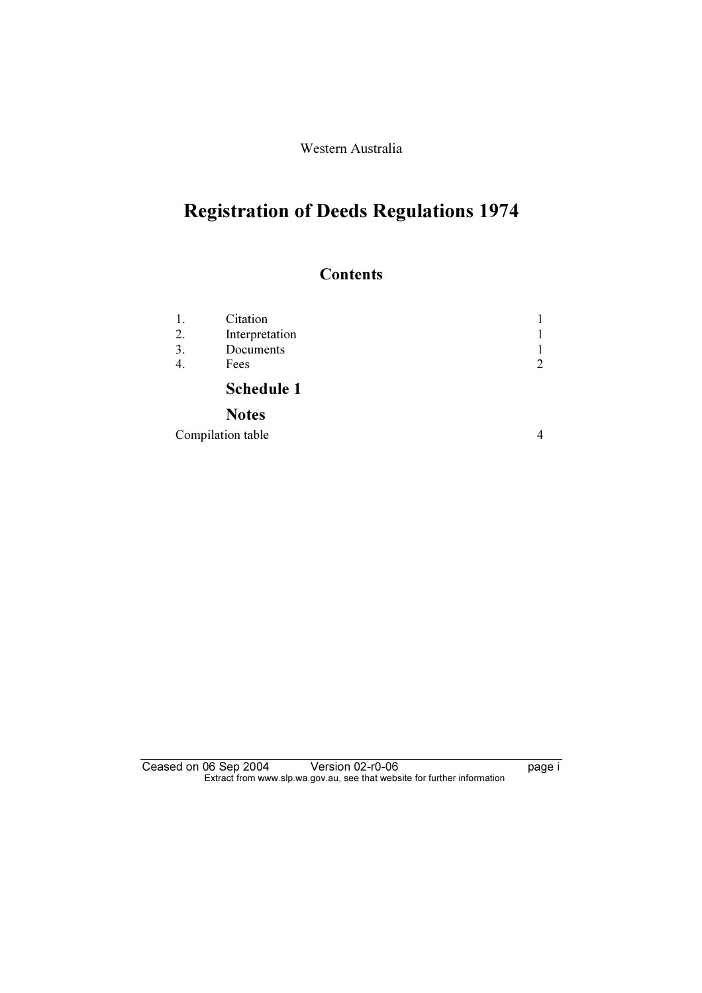Western Australia

## Registration of Deeds Regulations 1974

### **Contents**

|    | Citation          |                |
|----|-------------------|----------------|
| 2. | Interpretation    |                |
| 3. | Documents         |                |
|    | Fees              | $\overline{2}$ |
|    | <b>Schedule 1</b> |                |
|    | <b>Notes</b>      |                |

Compilation table 4

Ceased on 06 Sep 2004 Version 02-r0-06 **page i**  $\mathbf{F}$  from which was the set that we besite for further information  $\mathbf{F}$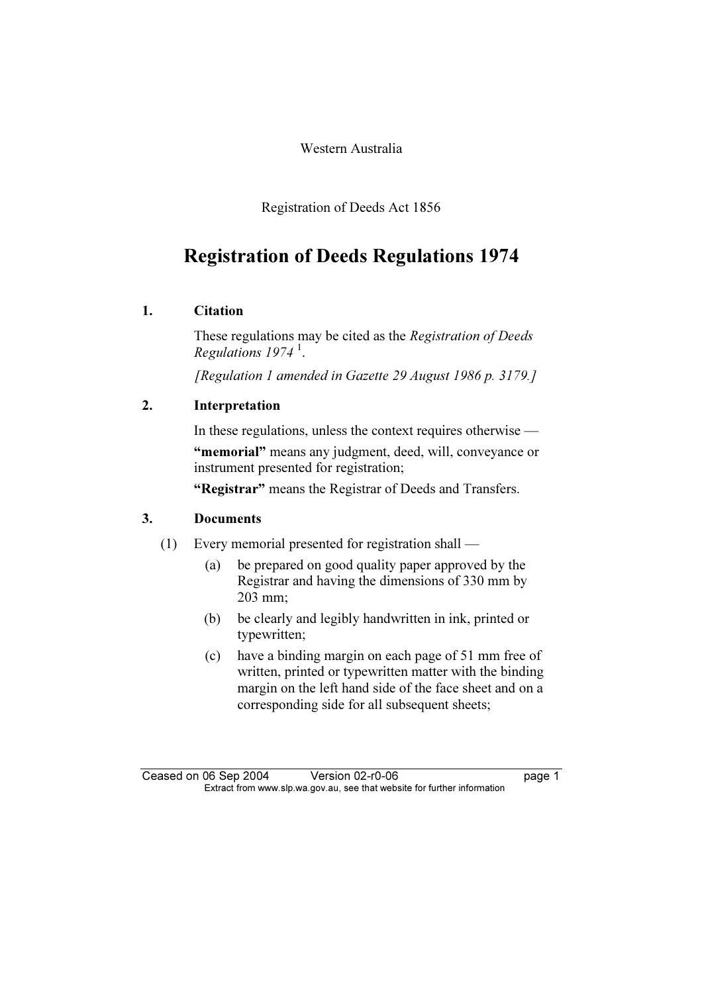Western Australia

Registration of Deeds Act 1856

## Registration of Deeds Regulations 1974

### $\mathbf{1}$ . **Citation**

These regulations may be cited as the Registration of Deeds Regulations 1974 $^1$ .

[Regulation 1 amended in Gazette 29 August 1986 p. 3179.]

# $\mathbf{P}$  and  $\mathbf{P}$

In these regulations, unless the context requires otherwise —

"memorial" means any judgment, deed, will, conveyance or instrument presented for registration;

"Registrar" means the Registrar of Deeds and Transfers.

- (1) Every memorial presented for registration shall
	- (a) be prepared on good quality paper approved by the Registrar and having the dimensions of 330 mm by 203 mm;
	- (b) be clearly and legibly handwritten in ink, printed or typewritten;
	- (c) have a binding margin on each page of 51 mm free of written, printed or typewritten matter with the binding margin on the left hand side of the face sheet and on a corresponding side for all subsequent sheets;

Ceased on 06 Sep 2004 Version 02-r0-06 page 1<br>Extract from www.slp.wa.gov.au, see that website for further information  $\mathbf{F}$  from which was the set that we besite for further information  $\mathbf{F}$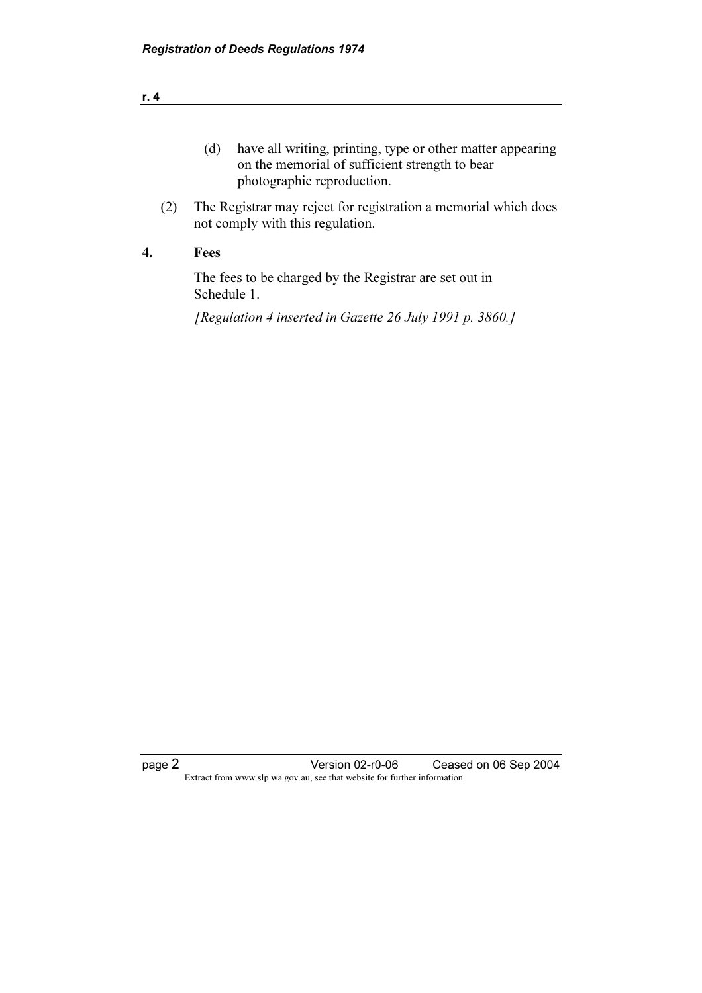| have all writing, printing, type or other matter appearing |
|------------------------------------------------------------|
| on the memorial of sufficient strength to bear             |
| photographic reproduction.                                 |

 (2) The Registrar may reject for registration a memorial which does not comply with this regulation.

 The fees to be charged by the Registrar are set out in Schedule 1.

[Regulation 4 inserted in Gazette 26 July 1991 p. 3860.]

page 2 **Version 02-r0-06** Ceased on 06 Sep 2004 Extract from www.slp.wa.gov.au, see that website for further information

| ٠ |   |
|---|---|
|   | _ |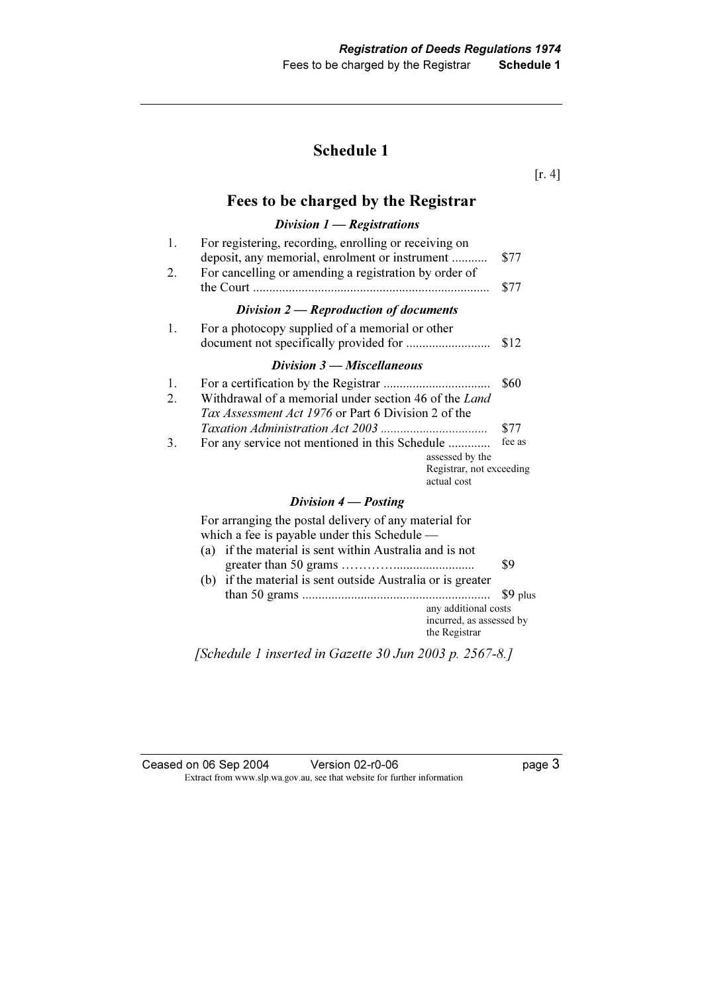### Schedule 1

[r. 4]

### Fees to be charged by the Registrar

### Division 1 — Registrations

| 1.<br>2. | For registering, recording, enrolling or receiving on<br>deposit, any memorial, enrolment or instrument<br>For cancelling or amending a registration by order of | \$77<br>\$77 |
|----------|------------------------------------------------------------------------------------------------------------------------------------------------------------------|--------------|
|          | Division $2$ - Reproduction of documents                                                                                                                         |              |
| 1.       | For a photocopy supplied of a memorial or other                                                                                                                  | \$12         |
|          | Division $3$ — Miscellaneous                                                                                                                                     |              |
| 1.<br>2. | Withdrawal of a memorial under section 46 of the Land<br>Tax Assessment Act 1976 or Part 6 Division 2 of the                                                     | \$60         |
|          |                                                                                                                                                                  | \$77         |
| 3.       | For any service not mentioned in this Schedule<br>assessed by the<br>Registrar, not exceeding<br>actual cost                                                     | fee as       |
|          | Division $4$ – Posting                                                                                                                                           |              |

 For arranging the postal delivery of any material for which a fee is payable under this Schedule —

- (a) if the material is sent within Australia and is not greater than 50 grams …………......................... \$9 (b) if the material is sent outside Australia or is greater
- than 50 grams .......................................................... \$9 plus any additional costs incurred, as assessed by the Registrar

[Schedule 1 inserted in Gazette 30 Jun 2003 p. 2567-8.]

| Ceased on 06 Sep 2004 | Version 02-r0-06                                                         | page 3 |
|-----------------------|--------------------------------------------------------------------------|--------|
|                       | Extract from www.slp.wa.gov.au, see that website for further information |        |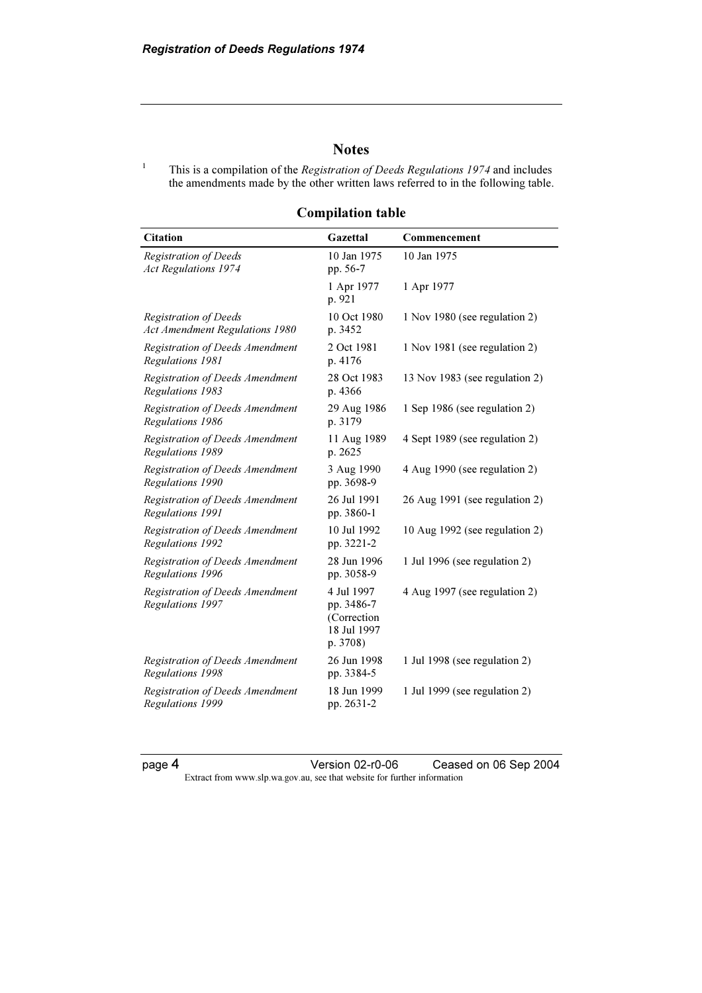1

### **Notes**

This is a compilation of the *Registration of Deeds Regulations 1974* and includes the amendments made by the other written laws referred to in the following table.

Compilation table

| <b>Citation</b>                                                | Gazettal                                                           | Commencement                   |
|----------------------------------------------------------------|--------------------------------------------------------------------|--------------------------------|
| <b>Registration of Deeds</b><br><b>Act Regulations 1974</b>    | 10 Jan 1975<br>pp. 56-7                                            | 10 Jan 1975                    |
|                                                                | 1 Apr 1977<br>p. 921                                               | 1 Apr 1977                     |
| Registration of Deeds<br><b>Act Amendment Regulations 1980</b> | 10 Oct 1980<br>p. 3452                                             | 1 Nov 1980 (see regulation 2)  |
| Registration of Deeds Amendment<br>Regulations 1981            | 2 Oct 1981<br>p. 4176                                              | 1 Nov 1981 (see regulation 2)  |
| Registration of Deeds Amendment<br>Regulations 1983            | 28 Oct 1983<br>p. 4366                                             | 13 Nov 1983 (see regulation 2) |
| Registration of Deeds Amendment<br>Regulations 1986            | 29 Aug 1986<br>p. 3179                                             | 1 Sep 1986 (see regulation 2)  |
| Registration of Deeds Amendment<br>Regulations 1989            | 11 Aug 1989<br>p. 2625                                             | 4 Sept 1989 (see regulation 2) |
| Registration of Deeds Amendment<br>Regulations 1990            | 3 Aug 1990<br>pp. 3698-9                                           | 4 Aug 1990 (see regulation 2)  |
| Registration of Deeds Amendment<br>Regulations 1991            | 26 Jul 1991<br>pp. 3860-1                                          | 26 Aug 1991 (see regulation 2) |
| Registration of Deeds Amendment<br>Regulations 1992            | 10 Jul 1992<br>pp. 3221-2                                          | 10 Aug 1992 (see regulation 2) |
| Registration of Deeds Amendment<br>Regulations 1996            | 28 Jun 1996<br>pp. 3058-9                                          | 1 Jul 1996 (see regulation 2)  |
| Registration of Deeds Amendment<br>Regulations 1997            | 4 Jul 1997<br>pp. 3486-7<br>(Correction<br>18 Jul 1997<br>p. 3708) | 4 Aug 1997 (see regulation 2)  |
| Registration of Deeds Amendment<br>Regulations 1998            | 26 Jun 1998<br>pp. 3384-5                                          | 1 Jul 1998 (see regulation 2)  |
| Registration of Deeds Amendment<br>Regulations 1999            | 18 Jun 1999<br>pp. 2631-2                                          | 1 Jul 1999 (see regulation 2)  |

page 4 Version 02-r0-06 Ceased on 06 Sep 2004 Extract from www.slp.wa.gov.au, see that website for further information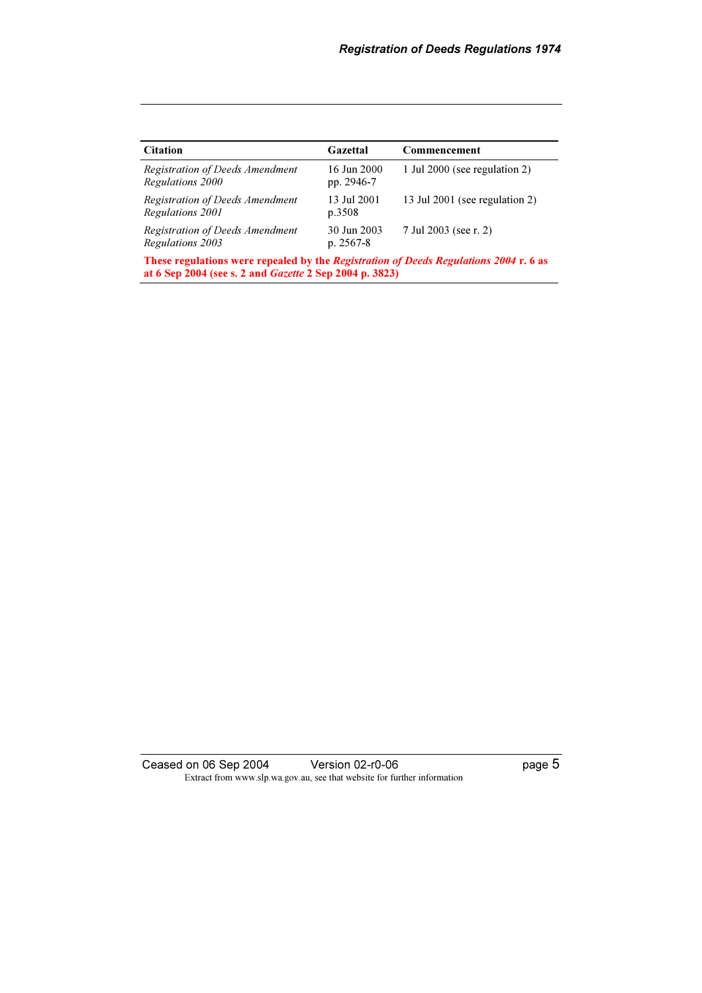| <b>Citation</b>                                                                                                                                         | Gazettal                   | Commencement                   |
|---------------------------------------------------------------------------------------------------------------------------------------------------------|----------------------------|--------------------------------|
| Registration of Deeds Amendment<br>Regulations 2000                                                                                                     | 16 Jun 2000<br>pp. 2946-7  | 1 Jul 2000 (see regulation 2)  |
| Registration of Deeds Amendment<br>Regulations 2001                                                                                                     | 13 Jul 2001<br>p.3508      | 13 Jul 2001 (see regulation 2) |
| Registration of Deeds Amendment<br>Regulations 2003                                                                                                     | 30 Jun 2003<br>$p. 2567-8$ | 7 Jul 2003 (see r. 2)          |
| These regulations were repealed by the Registration of Deeds Regulations 2004 r. 6 as<br>at 6 Sep 2004 (see s. 2 and <i>Gazette</i> 2 Sep 2004 p. 3823) |                            |                                |

Ceased on 06 Sep 2004 Version 02-r0-06 **Page 5**  $\mathbf{F}$  from which we be the website for further information for further information  $\mathbf{F}$